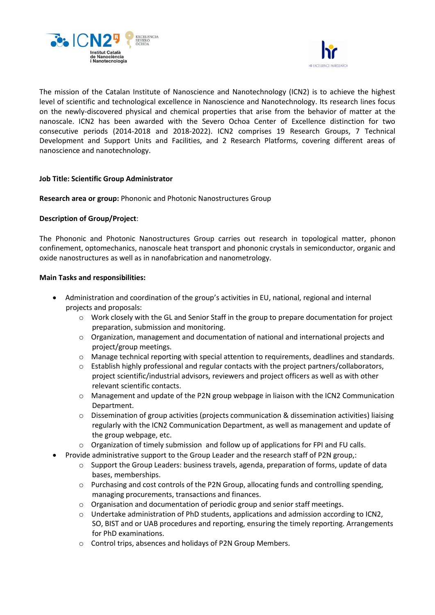



The mission of the Catalan Institute of Nanoscience and Nanotechnology (ICN2) is to achieve the highest level of scientific and technological excellence in Nanoscience and Nanotechnology. Its research lines focus on the newly-discovered physical and chemical properties that arise from the behavior of matter at the nanoscale. ICN2 has been awarded with the Severo Ochoa Center of Excellence distinction for two consecutive periods (2014-2018 and 2018-2022). ICN2 comprises 19 Research Groups, 7 Technical Development and Support Units and Facilities, and 2 Research Platforms, covering different areas of nanoscience and nanotechnology.

## **Job Title: Scientific Group Administrator**

**Research area or group:** Phononic and Photonic Nanostructures Group

# **Description of Group/Project**:

The Phononic and Photonic Nanostructures Group carries out research in topological matter, phonon confinement, optomechanics, nanoscale heat transport and phononic crystals in semiconductor, organic and oxide nanostructures as well as in nanofabrication and nanometrology.

## **Main Tasks and responsibilities:**

- Administration and coordination of the group's activities in EU, national, regional and internal projects and proposals:
	- $\circ$  Work closely with the GL and Senior Staff in the group to prepare documentation for project preparation, submission and monitoring.
	- o Organization, management and documentation of national and international projects and project/group meetings.
	- $\circ$  Manage technical reporting with special attention to requirements, deadlines and standards.
	- $\circ$  Establish highly professional and regular contacts with the project partners/collaborators, project scientific/industrial advisors, reviewers and project officers as well as with other relevant scientific contacts.
	- o Management and update of the P2N group webpage in liaison with the ICN2 Communication Department.
	- $\circ$  Dissemination of group activities (projects communication & dissemination activities) liaising regularly with the ICN2 Communication Department, as well as management and update of the group webpage, etc.
	- o Organization of timely submission and follow up of applications for FPI and FU calls.
- Provide administrative support to the Group Leader and the research staff of P2N group,:
	- o Support the Group Leaders: business travels, agenda, preparation of forms, update of data bases, memberships.
	- o Purchasing and cost controls of the P2N Group, allocating funds and controlling spending, managing procurements, transactions and finances.
	- $\circ$  Organisation and documentation of periodic group and senior staff meetings.
	- o Undertake administration of PhD students, applications and admission according to ICN2, SO, BIST and or UAB procedures and reporting, ensuring the timely reporting. Arrangements for PhD examinations.
	- o Control trips, absences and holidays of P2N Group Members.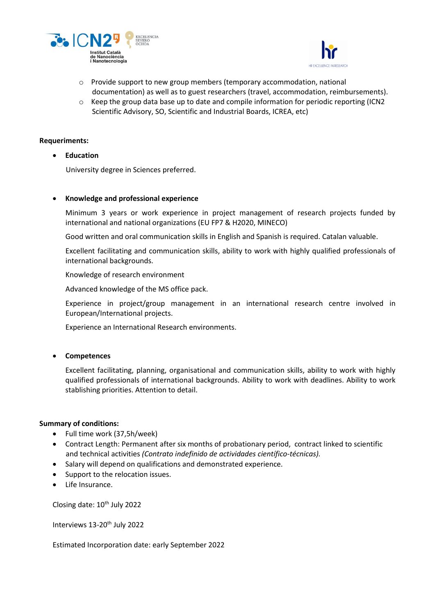



- o Provide support to new group members (temporary accommodation, national documentation) as well as to guest researchers (travel, accommodation, reimbursements).
- $\circ$  Keep the group data base up to date and compile information for periodic reporting (ICN2) Scientific Advisory, SO, Scientific and Industrial Boards, ICREA, etc)

### **Requeriments:**

• **Education**

University degree in Sciences preferred.

## • **Knowledge and professional experience**

Minimum 3 years or work experience in project management of research projects funded by international and national organizations (EU FP7 & H2020, MINECO)

Good written and oral communication skills in English and Spanish is required. Catalan valuable.

Excellent facilitating and communication skills, ability to work with highly qualified professionals of international backgrounds.

Knowledge of research environment

Advanced knowledge of the MS office pack.

Experience in project/group management in an international research centre involved in European/International projects.

Experience an International Research environments.

## • **Competences**

Excellent facilitating, planning, organisational and communication skills, ability to work with highly qualified professionals of international backgrounds. Ability to work with deadlines. Ability to work stablishing priorities. Attention to detail.

## **Summary of conditions:**

- Full time work (37,5h/week)
- Contract Length: Permanent after six months of probationary period, contract linked to scientific and technical activities *(Contrato indefinido de actividades científico-técnicas).*
- Salary will depend on qualifications and demonstrated experience.
- Support to the relocation issues.
- Life Insurance.

Closing date: 10<sup>th</sup> July 2022

Interviews 13-20<sup>th</sup> July 2022

Estimated Incorporation date: early September 2022